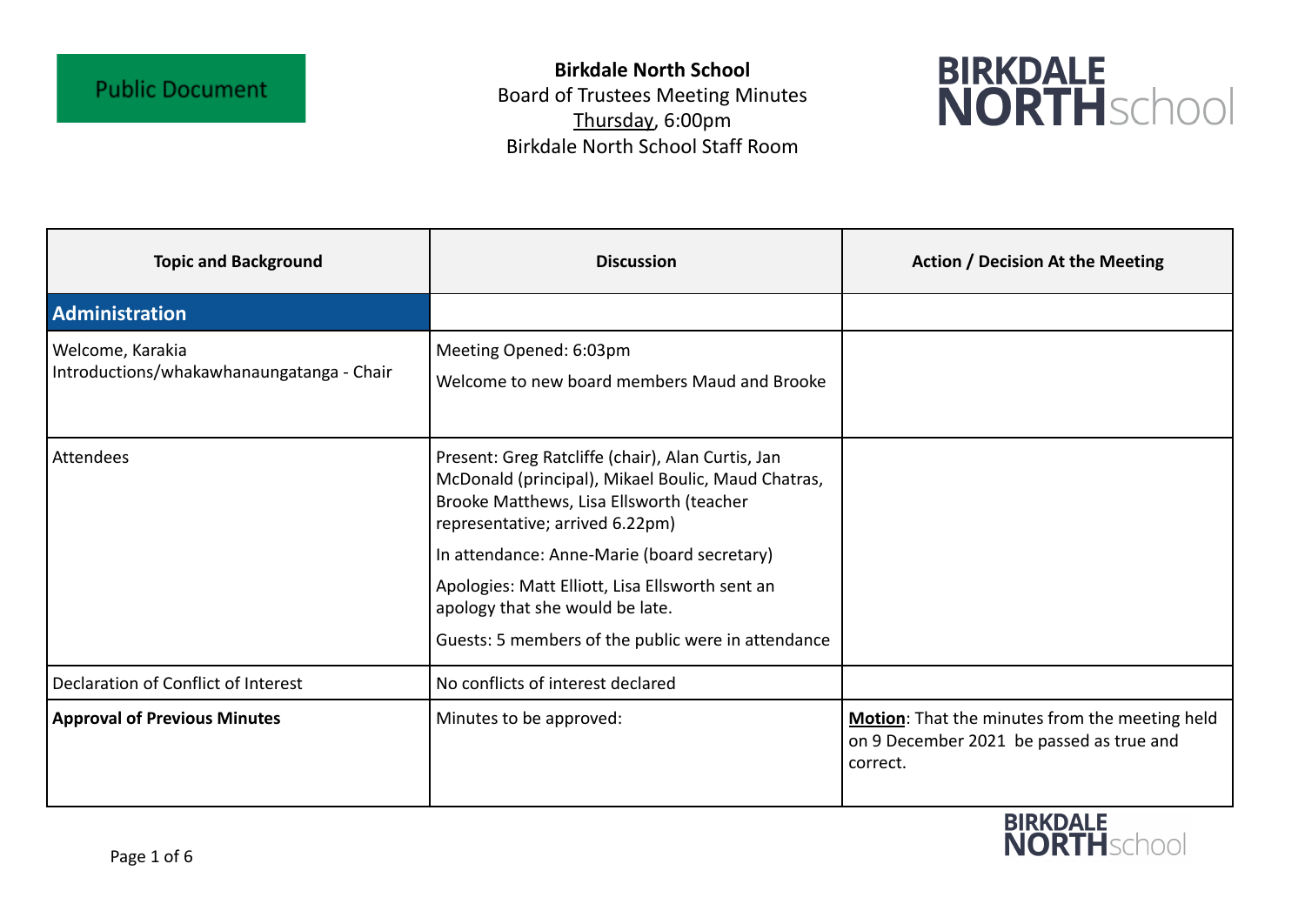**Birkdale North School** Board of Trustees Meeting Minutes Thursday, 6:00pm Birkdale North School Staff Room



| <b>Topic and Background</b>                                   | <b>Discussion</b>                                                                                                                                                                      | <b>Action / Decision At the Meeting</b>                                                                |
|---------------------------------------------------------------|----------------------------------------------------------------------------------------------------------------------------------------------------------------------------------------|--------------------------------------------------------------------------------------------------------|
| Administration                                                |                                                                                                                                                                                        |                                                                                                        |
| Welcome, Karakia<br>Introductions/whakawhanaungatanga - Chair | Meeting Opened: 6:03pm<br>Welcome to new board members Maud and Brooke                                                                                                                 |                                                                                                        |
| Attendees                                                     | Present: Greg Ratcliffe (chair), Alan Curtis, Jan<br>McDonald (principal), Mikael Boulic, Maud Chatras,<br>Brooke Matthews, Lisa Ellsworth (teacher<br>representative; arrived 6.22pm) |                                                                                                        |
|                                                               | In attendance: Anne-Marie (board secretary)                                                                                                                                            |                                                                                                        |
|                                                               | Apologies: Matt Elliott, Lisa Ellsworth sent an<br>apology that she would be late.                                                                                                     |                                                                                                        |
|                                                               | Guests: 5 members of the public were in attendance                                                                                                                                     |                                                                                                        |
| Declaration of Conflict of Interest                           | No conflicts of interest declared                                                                                                                                                      |                                                                                                        |
| <b>Approval of Previous Minutes</b>                           | Minutes to be approved:                                                                                                                                                                | Motion: That the minutes from the meeting held<br>on 9 December 2021 be passed as true and<br>correct. |

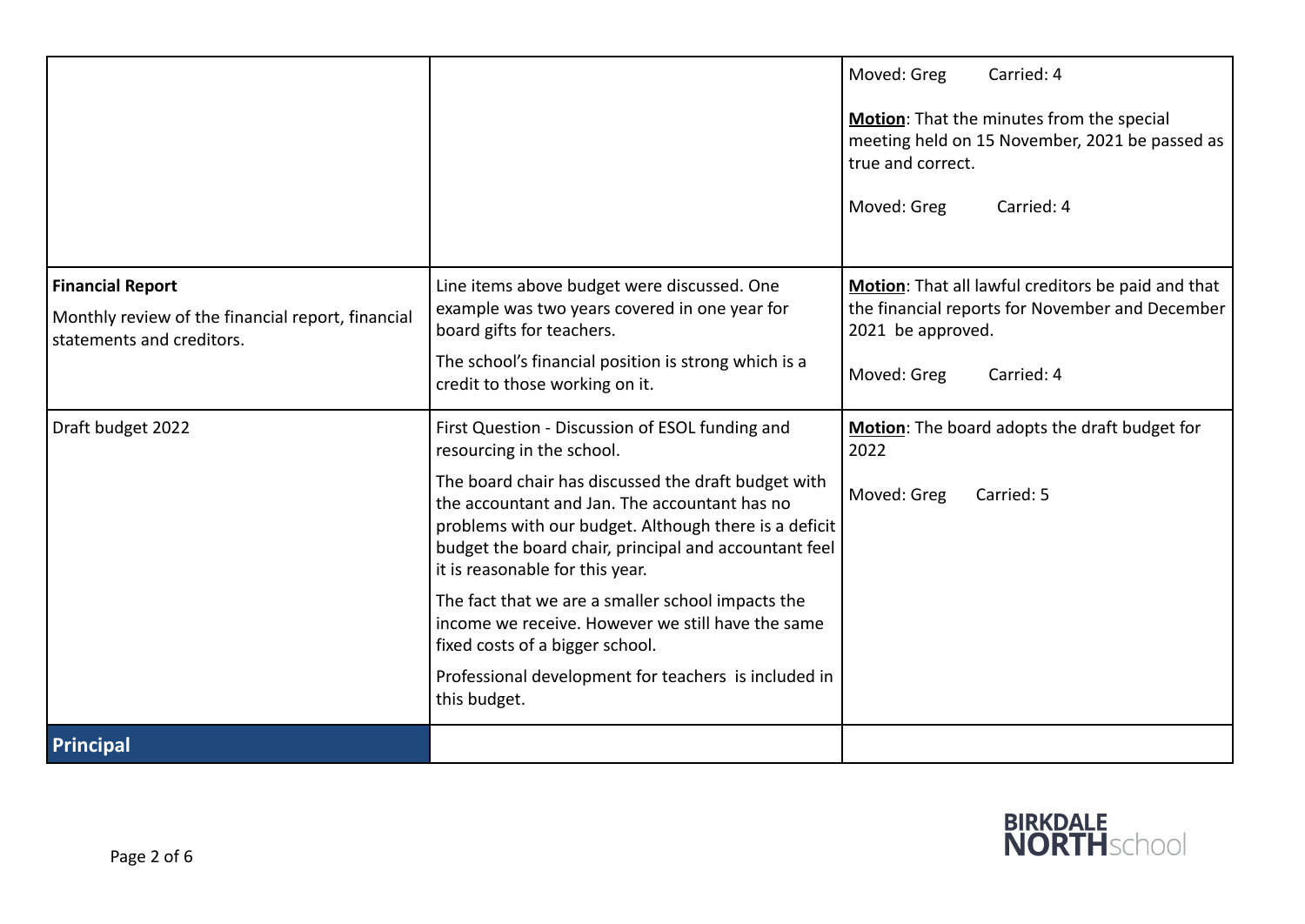|                                                                                |                                                                                                                                                                                                                                                           | Moved: Greg<br>Carried: 4                                                                                        |
|--------------------------------------------------------------------------------|-----------------------------------------------------------------------------------------------------------------------------------------------------------------------------------------------------------------------------------------------------------|------------------------------------------------------------------------------------------------------------------|
|                                                                                |                                                                                                                                                                                                                                                           | Motion: That the minutes from the special<br>meeting held on 15 November, 2021 be passed as<br>true and correct. |
|                                                                                |                                                                                                                                                                                                                                                           | Moved: Greg<br>Carried: 4                                                                                        |
| <b>Financial Report</b>                                                        | Line items above budget were discussed. One                                                                                                                                                                                                               | Motion: That all lawful creditors be paid and that                                                               |
| Monthly review of the financial report, financial<br>statements and creditors. | example was two years covered in one year for<br>board gifts for teachers.                                                                                                                                                                                | the financial reports for November and December<br>2021 be approved.                                             |
|                                                                                | The school's financial position is strong which is a<br>credit to those working on it.                                                                                                                                                                    | Moved: Greg<br>Carried: 4                                                                                        |
| Draft budget 2022                                                              | First Question - Discussion of ESOL funding and<br>resourcing in the school.                                                                                                                                                                              | Motion: The board adopts the draft budget for<br>2022                                                            |
|                                                                                | The board chair has discussed the draft budget with<br>the accountant and Jan. The accountant has no<br>problems with our budget. Although there is a deficit<br>budget the board chair, principal and accountant feel<br>it is reasonable for this year. | Moved: Greg<br>Carried: 5                                                                                        |
|                                                                                | The fact that we are a smaller school impacts the<br>income we receive. However we still have the same<br>fixed costs of a bigger school.                                                                                                                 |                                                                                                                  |
|                                                                                | Professional development for teachers is included in<br>this budget.                                                                                                                                                                                      |                                                                                                                  |
| Principal                                                                      |                                                                                                                                                                                                                                                           |                                                                                                                  |

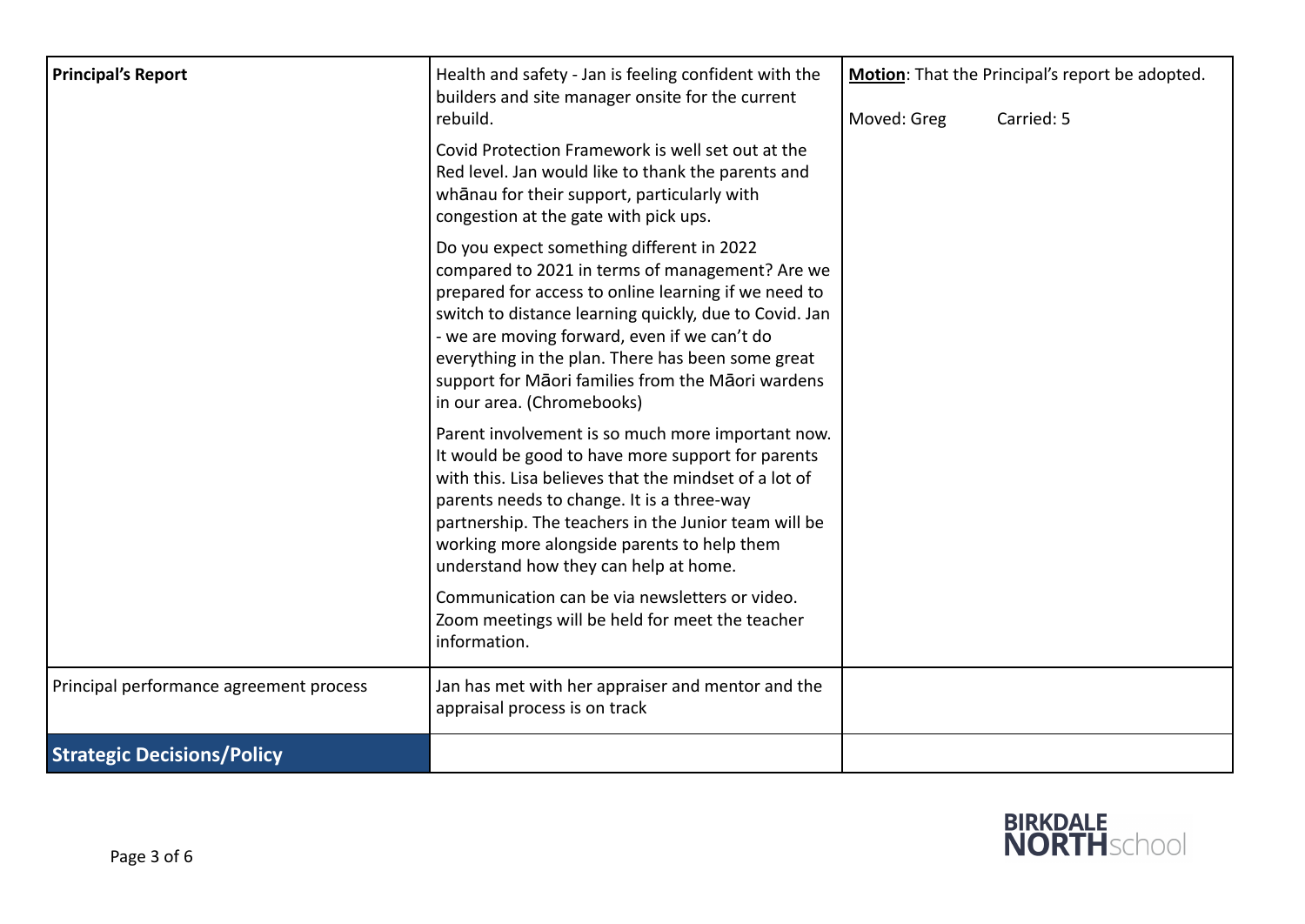| <b>Principal's Report</b>               | Health and safety - Jan is feeling confident with the<br>builders and site manager onsite for the current<br>rebuild.                                                                                                                                                                                                                                                                                  | Moved: Greg | Motion: That the Principal's report be adopted.<br>Carried: 5 |
|-----------------------------------------|--------------------------------------------------------------------------------------------------------------------------------------------------------------------------------------------------------------------------------------------------------------------------------------------------------------------------------------------------------------------------------------------------------|-------------|---------------------------------------------------------------|
|                                         | Covid Protection Framework is well set out at the<br>Red level. Jan would like to thank the parents and<br>whanau for their support, particularly with<br>congestion at the gate with pick ups.                                                                                                                                                                                                        |             |                                                               |
|                                         | Do you expect something different in 2022<br>compared to 2021 in terms of management? Are we<br>prepared for access to online learning if we need to<br>switch to distance learning quickly, due to Covid. Jan<br>- we are moving forward, even if we can't do<br>everything in the plan. There has been some great<br>support for Māori families from the Māori wardens<br>in our area. (Chromebooks) |             |                                                               |
|                                         | Parent involvement is so much more important now.<br>It would be good to have more support for parents<br>with this. Lisa believes that the mindset of a lot of<br>parents needs to change. It is a three-way<br>partnership. The teachers in the Junior team will be<br>working more alongside parents to help them<br>understand how they can help at home.                                          |             |                                                               |
|                                         | Communication can be via newsletters or video.<br>Zoom meetings will be held for meet the teacher<br>information.                                                                                                                                                                                                                                                                                      |             |                                                               |
| Principal performance agreement process | Jan has met with her appraiser and mentor and the<br>appraisal process is on track                                                                                                                                                                                                                                                                                                                     |             |                                                               |
| <b>Strategic Decisions/Policy</b>       |                                                                                                                                                                                                                                                                                                                                                                                                        |             |                                                               |

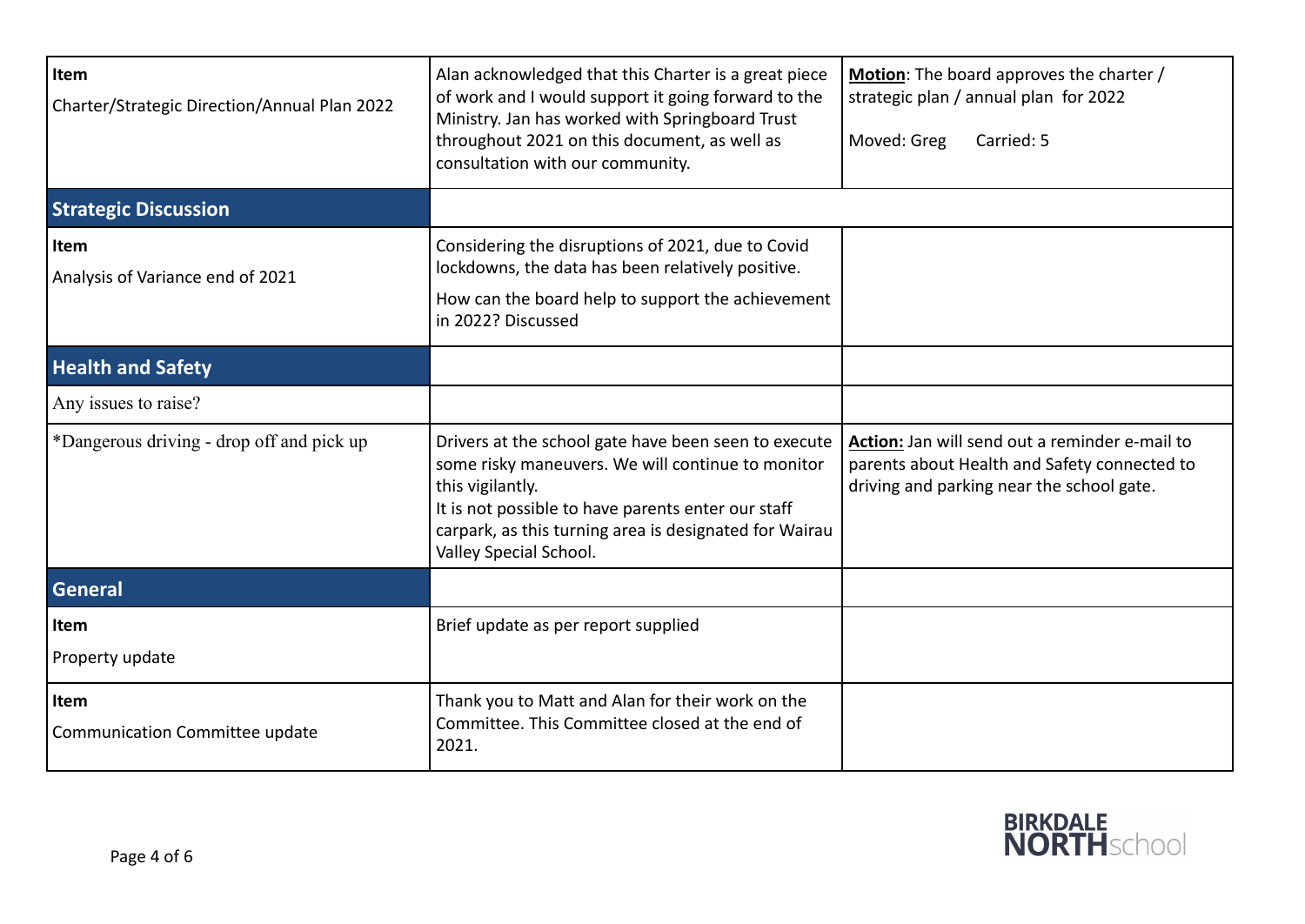| Item<br>Charter/Strategic Direction/Annual Plan 2022 | Alan acknowledged that this Charter is a great piece<br>of work and I would support it going forward to the<br>Ministry. Jan has worked with Springboard Trust<br>throughout 2021 on this document, as well as<br>consultation with our community.                      | Motion: The board approves the charter /<br>strategic plan / annual plan for 2022<br>Moved: Greg<br>Carried: 5                              |
|------------------------------------------------------|-------------------------------------------------------------------------------------------------------------------------------------------------------------------------------------------------------------------------------------------------------------------------|---------------------------------------------------------------------------------------------------------------------------------------------|
| <b>Strategic Discussion</b>                          |                                                                                                                                                                                                                                                                         |                                                                                                                                             |
| Item<br>Analysis of Variance end of 2021             | Considering the disruptions of 2021, due to Covid<br>lockdowns, the data has been relatively positive.<br>How can the board help to support the achievement<br>in 2022? Discussed                                                                                       |                                                                                                                                             |
| <b>Health and Safety</b>                             |                                                                                                                                                                                                                                                                         |                                                                                                                                             |
| Any issues to raise?                                 |                                                                                                                                                                                                                                                                         |                                                                                                                                             |
| *Dangerous driving - drop off and pick up            | Drivers at the school gate have been seen to execute<br>some risky maneuvers. We will continue to monitor<br>this vigilantly.<br>It is not possible to have parents enter our staff<br>carpark, as this turning area is designated for Wairau<br>Valley Special School. | Action: Jan will send out a reminder e-mail to<br>parents about Health and Safety connected to<br>driving and parking near the school gate. |
| General                                              |                                                                                                                                                                                                                                                                         |                                                                                                                                             |
| Item<br>Property update                              | Brief update as per report supplied                                                                                                                                                                                                                                     |                                                                                                                                             |
| Item<br>Communication Committee update               | Thank you to Matt and Alan for their work on the<br>Committee. This Committee closed at the end of<br>2021.                                                                                                                                                             |                                                                                                                                             |

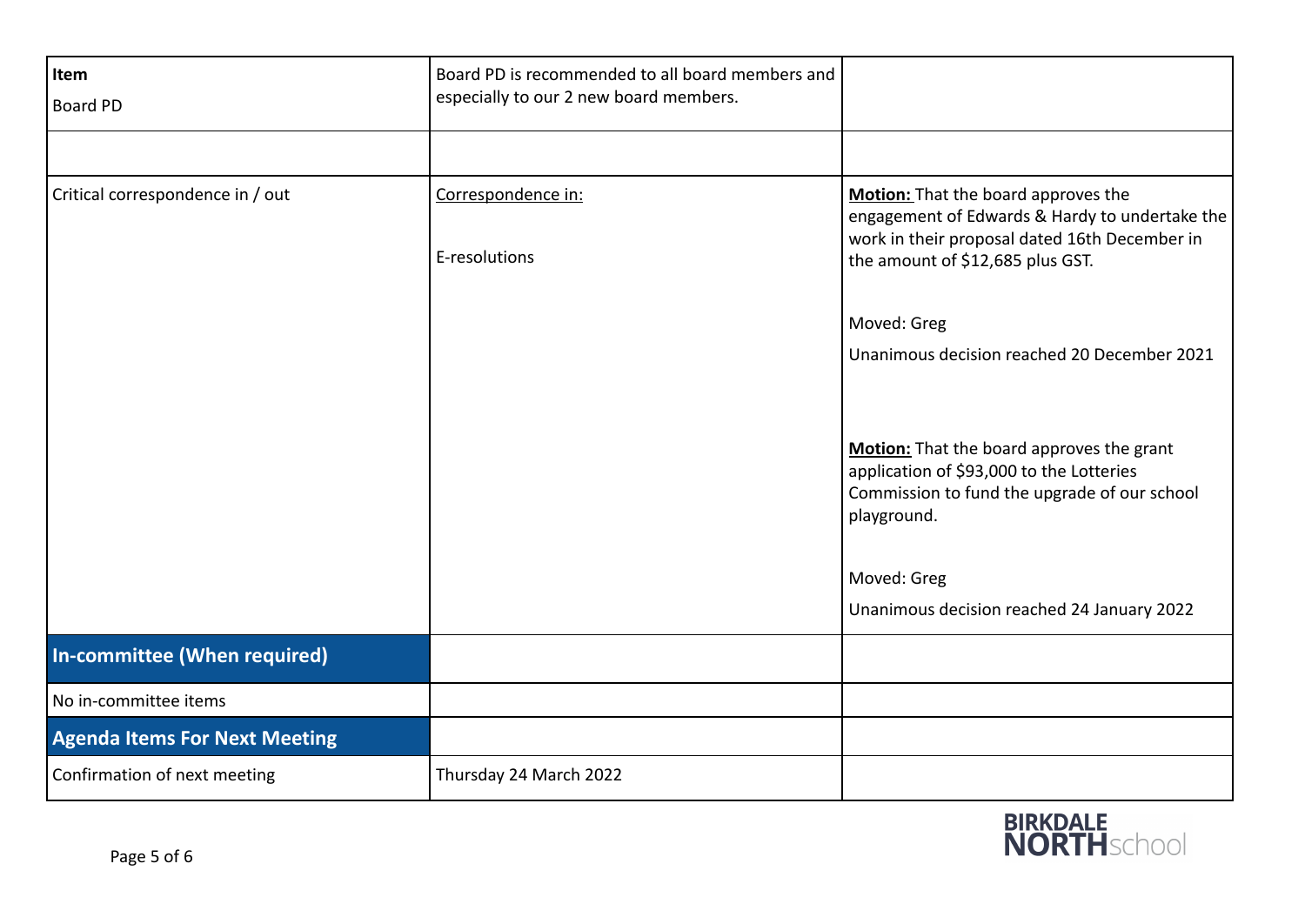| Item<br><b>Board PD</b>              | Board PD is recommended to all board members and<br>especially to our 2 new board members. |                                                                                                                                                                                                                   |
|--------------------------------------|--------------------------------------------------------------------------------------------|-------------------------------------------------------------------------------------------------------------------------------------------------------------------------------------------------------------------|
|                                      |                                                                                            |                                                                                                                                                                                                                   |
| Critical correspondence in / out     | Correspondence in:<br>E-resolutions                                                        | Motion: That the board approves the<br>engagement of Edwards & Hardy to undertake the<br>work in their proposal dated 16th December in<br>the amount of \$12,685 plus GST.                                        |
|                                      |                                                                                            | Moved: Greg                                                                                                                                                                                                       |
|                                      |                                                                                            | Unanimous decision reached 20 December 2021                                                                                                                                                                       |
|                                      |                                                                                            | Motion: That the board approves the grant<br>application of \$93,000 to the Lotteries<br>Commission to fund the upgrade of our school<br>playground.<br>Moved: Greg<br>Unanimous decision reached 24 January 2022 |
| In-committee (When required)         |                                                                                            |                                                                                                                                                                                                                   |
| No in-committee items                |                                                                                            |                                                                                                                                                                                                                   |
| <b>Agenda Items For Next Meeting</b> |                                                                                            |                                                                                                                                                                                                                   |
| Confirmation of next meeting         | Thursday 24 March 2022                                                                     |                                                                                                                                                                                                                   |